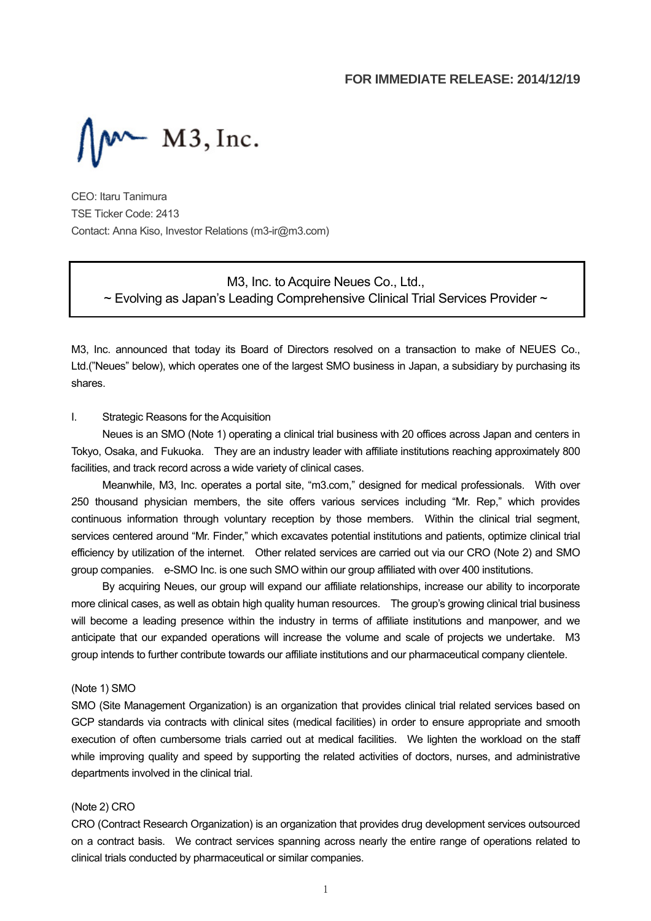

CEO: Itaru Tanimura TSE Ticker Code: 2413 Contact: Anna Kiso, Investor Relations (m3-ir@m3.com)

> M3, Inc. to Acquire Neues Co., Ltd.,  $\sim$  Evolving as Japan's Leading Comprehensive Clinical Trial Services Provider  $\sim$

M3, Inc. announced that today its Board of Directors resolved on a transaction to make of NEUES Co., Ltd.("Neues" below), which operates one of the largest SMO business in Japan, a subsidiary by purchasing its shares.

#### I. Strategic Reasons for the Acquisition

Neues is an SMO (Note 1) operating a clinical trial business with 20 offices across Japan and centers in Tokyo, Osaka, and Fukuoka. They are an industry leader with affiliate institutions reaching approximately 800 facilities, and track record across a wide variety of clinical cases.

Meanwhile, M3, Inc. operates a portal site, "m3.com," designed for medical professionals. With over 250 thousand physician members, the site offers various services including "Mr. Rep," which provides continuous information through voluntary reception by those members. Within the clinical trial segment, services centered around "Mr. Finder," which excavates potential institutions and patients, optimize clinical trial efficiency by utilization of the internet. Other related services are carried out via our CRO (Note 2) and SMO group companies. e-SMO Inc. is one such SMO within our group affiliated with over 400 institutions.

By acquiring Neues, our group will expand our affiliate relationships, increase our ability to incorporate more clinical cases, as well as obtain high quality human resources. The group's growing clinical trial business will become a leading presence within the industry in terms of affiliate institutions and manpower, and we anticipate that our expanded operations will increase the volume and scale of projects we undertake. M3 group intends to further contribute towards our affiliate institutions and our pharmaceutical company clientele.

#### (Note 1) SMO

SMO (Site Management Organization) is an organization that provides clinical trial related services based on GCP standards via contracts with clinical sites (medical facilities) in order to ensure appropriate and smooth execution of often cumbersome trials carried out at medical facilities. We lighten the workload on the staff while improving quality and speed by supporting the related activities of doctors, nurses, and administrative departments involved in the clinical trial.

#### (Note 2) CRO

CRO (Contract Research Organization) is an organization that provides drug development services outsourced on a contract basis. We contract services spanning across nearly the entire range of operations related to clinical trials conducted by pharmaceutical or similar companies.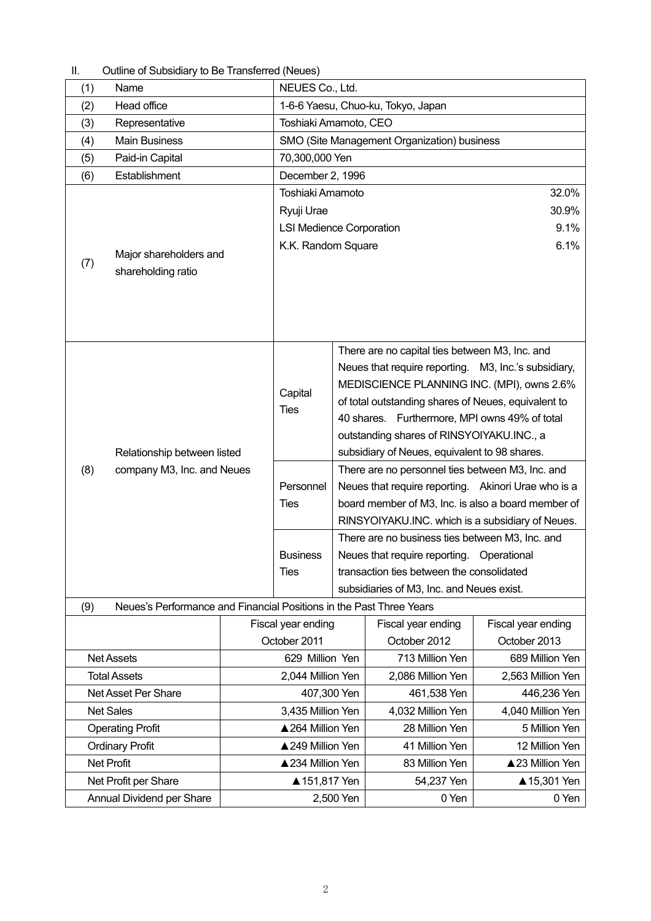| Camillo of Capsiglary to DC Transicirca (Neucs) |                                                                     |                       |                                    |                                                      |                                                     |                    |  |
|-------------------------------------------------|---------------------------------------------------------------------|-----------------------|------------------------------------|------------------------------------------------------|-----------------------------------------------------|--------------------|--|
| (1)<br>Name                                     |                                                                     |                       | NEUES Co., Ltd.                    |                                                      |                                                     |                    |  |
| (2)                                             | Head office                                                         |                       | 1-6-6 Yaesu, Chuo-ku, Tokyo, Japan |                                                      |                                                     |                    |  |
| (3)<br>Representative                           |                                                                     | Toshiaki Amamoto, CEO |                                    |                                                      |                                                     |                    |  |
| <b>Main Business</b><br>(4)                     |                                                                     |                       |                                    | SMO (Site Management Organization) business          |                                                     |                    |  |
| (5)                                             | Paid-in Capital                                                     |                       | 70,300,000 Yen                     |                                                      |                                                     |                    |  |
| (6)                                             | Establishment                                                       |                       | December 2, 1996                   |                                                      |                                                     |                    |  |
|                                                 |                                                                     |                       | Toshiaki Amamoto                   |                                                      |                                                     | 32.0%              |  |
|                                                 |                                                                     |                       | Ryuji Urae                         |                                                      | 30.9%                                               |                    |  |
|                                                 |                                                                     |                       | <b>LSI Medience Corporation</b>    |                                                      | 9.1%                                                |                    |  |
|                                                 | Major shareholders and                                              |                       | K.K. Random Square                 |                                                      |                                                     | 6.1%               |  |
| (7)                                             | shareholding ratio                                                  |                       |                                    |                                                      |                                                     |                    |  |
|                                                 |                                                                     |                       |                                    |                                                      |                                                     |                    |  |
|                                                 |                                                                     |                       |                                    |                                                      |                                                     |                    |  |
|                                                 |                                                                     |                       |                                    |                                                      |                                                     |                    |  |
|                                                 |                                                                     |                       |                                    |                                                      |                                                     |                    |  |
|                                                 |                                                                     |                       |                                    |                                                      | There are no capital ties between M3, Inc. and      |                    |  |
|                                                 |                                                                     |                       |                                    | Neues that require reporting. M3, Inc.'s subsidiary, |                                                     |                    |  |
|                                                 |                                                                     |                       | Capital                            |                                                      | MEDISCIENCE PLANNING INC. (MPI), owns 2.6%          |                    |  |
|                                                 |                                                                     |                       | <b>Ties</b>                        | of total outstanding shares of Neues, equivalent to  |                                                     |                    |  |
|                                                 |                                                                     |                       |                                    | 40 shares. Furthermore, MPI owns 49% of total        |                                                     |                    |  |
|                                                 |                                                                     |                       |                                    | outstanding shares of RINSYOIYAKU.INC., a            |                                                     |                    |  |
|                                                 | Relationship between listed                                         |                       |                                    | subsidiary of Neues, equivalent to 98 shares.        |                                                     |                    |  |
| (8)                                             | company M3, Inc. and Neues                                          |                       |                                    |                                                      | There are no personnel ties between M3, Inc. and    |                    |  |
|                                                 |                                                                     |                       | Personnel                          |                                                      | Neues that require reporting. Akinori Urae who is a |                    |  |
|                                                 |                                                                     |                       | <b>Ties</b>                        | board member of M3, Inc. is also a board member of   |                                                     |                    |  |
|                                                 |                                                                     |                       |                                    | RINSYOIYAKU.INC. which is a subsidiary of Neues.     |                                                     |                    |  |
|                                                 |                                                                     |                       |                                    | There are no business ties between M3, Inc. and      |                                                     |                    |  |
|                                                 |                                                                     |                       | <b>Business</b>                    | Neues that require reporting. Operational            |                                                     |                    |  |
|                                                 |                                                                     |                       | <b>Ties</b>                        | transaction ties between the consolidated            |                                                     |                    |  |
|                                                 |                                                                     |                       |                                    | subsidiaries of M3, Inc. and Neues exist.            |                                                     |                    |  |
| (9)                                             | Neues's Performance and Financial Positions in the Past Three Years |                       |                                    |                                                      |                                                     |                    |  |
|                                                 |                                                                     |                       | Fiscal year ending                 |                                                      | Fiscal year ending                                  | Fiscal year ending |  |
|                                                 |                                                                     |                       | October 2011                       |                                                      | October 2012                                        | October 2013       |  |
|                                                 | <b>Net Assets</b>                                                   |                       | 629 Million Yen                    |                                                      | 713 Million Yen                                     | 689 Million Yen    |  |
|                                                 | <b>Total Assets</b>                                                 |                       | 2,044 Million Yen                  |                                                      | 2,086 Million Yen                                   | 2,563 Million Yen  |  |
|                                                 | Net Asset Per Share                                                 |                       | 407,300 Yen                        |                                                      | 461,538 Yen                                         | 446,236 Yen        |  |
|                                                 | <b>Net Sales</b>                                                    |                       | 3,435 Million Yen                  |                                                      | 4,032 Million Yen                                   | 4,040 Million Yen  |  |
|                                                 | <b>Operating Profit</b>                                             |                       | ▲264 Million Yen                   |                                                      | 28 Million Yen                                      | 5 Million Yen      |  |
|                                                 | <b>Ordinary Profit</b>                                              |                       | ▲249 Million Yen                   |                                                      | 41 Million Yen                                      | 12 Million Yen     |  |
|                                                 | <b>Net Profit</b>                                                   |                       | ▲234 Million Yen                   |                                                      | 83 Million Yen                                      | ▲23 Million Yen    |  |
|                                                 | Net Profit per Share                                                |                       | ▲ 151,817 Yen                      |                                                      | 54,237 Yen                                          | ▲ 15,301 Yen       |  |
|                                                 | Annual Dividend per Share                                           |                       | 2,500 Yen                          |                                                      | 0 Yen                                               | 0 Yen              |  |

II. Outline of Subsidiary to Be Transferred (Neues)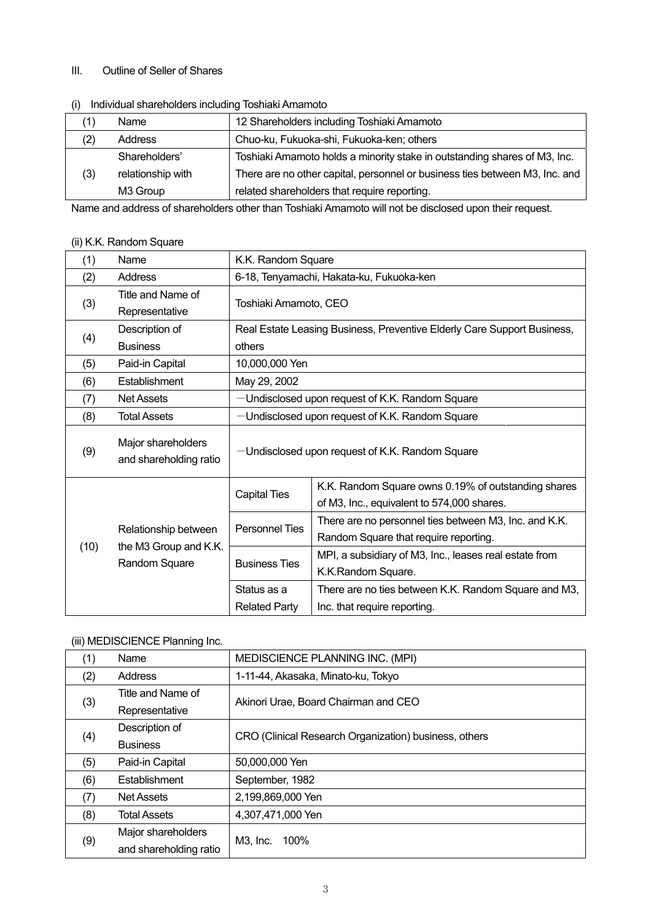#### III. Outline of Seller of Shares

| $\cdots$ | <b>INTERNATION CONTROLS INTO A REPORT OF THE CONTROL</b> |                                                                             |  |  |  |
|----------|----------------------------------------------------------|-----------------------------------------------------------------------------|--|--|--|
|          | Name                                                     | 12 Shareholders including Toshiaki Amamoto                                  |  |  |  |
| (2)      | Address                                                  | Chuo-ku, Fukuoka-shi, Fukuoka-ken; others                                   |  |  |  |
|          | Shareholders'                                            | Toshiaki Amamoto holds a minority stake in outstanding shares of M3, Inc.   |  |  |  |
| (3)      | relationship with                                        | There are no other capital, personnel or business ties between M3, Inc. and |  |  |  |
|          | M3 Group                                                 | related shareholders that require reporting.                                |  |  |  |

## (i) Individual shareholders including Toshiaki Amamoto

Name and address of shareholders other than Toshiaki Amamoto will not be disclosed upon their request.

# (ii) K.K. Random Square

| (1)  | Name                                                           | K.K. Random Square                              |                                                                         |  |  |
|------|----------------------------------------------------------------|-------------------------------------------------|-------------------------------------------------------------------------|--|--|
| (2)  | Address                                                        | 6-18, Tenyamachi, Hakata-ku, Fukuoka-ken        |                                                                         |  |  |
| (3)  | Title and Name of                                              | Toshiaki Amamoto, CEO                           |                                                                         |  |  |
|      | Representative                                                 |                                                 |                                                                         |  |  |
|      | Description of                                                 |                                                 | Real Estate Leasing Business, Preventive Elderly Care Support Business, |  |  |
| (4)  | <b>Business</b>                                                | others                                          |                                                                         |  |  |
| (5)  | Paid-in Capital                                                | 10,000,000 Yen                                  |                                                                         |  |  |
| (6)  | Establishment                                                  | May 29, 2002                                    |                                                                         |  |  |
| (7)  | <b>Net Assets</b>                                              | -Undisclosed upon request of K.K. Random Square |                                                                         |  |  |
| (8)  | <b>Total Assets</b>                                            | -Undisclosed upon request of K.K. Random Square |                                                                         |  |  |
| (9)  | Major shareholders<br>and shareholding ratio                   | -Undisclosed upon request of K.K. Random Square |                                                                         |  |  |
|      |                                                                |                                                 | K.K. Random Square owns 0.19% of outstanding shares                     |  |  |
|      | Relationship between<br>the M3 Group and K.K.<br>Random Square | <b>Capital Ties</b>                             | of M3, Inc., equivalent to 574,000 shares.                              |  |  |
|      |                                                                | <b>Personnel Ties</b>                           | There are no personnel ties between M3, Inc. and K.K.                   |  |  |
|      |                                                                |                                                 | Random Square that require reporting.                                   |  |  |
| (10) |                                                                | <b>Business Ties</b>                            | MPI, a subsidiary of M3, Inc., leases real estate from                  |  |  |
|      |                                                                |                                                 | K.K.Random Square.                                                      |  |  |
|      |                                                                | Status as a                                     | There are no ties between K.K. Random Square and M3,                    |  |  |
|      |                                                                | <b>Related Party</b>                            | Inc. that require reporting.                                            |  |  |

## (iii) MEDISCIENCE Planning Inc.

| (1) | Name                   | MEDISCIENCE PLANNING INC. (MPI)                       |  |  |
|-----|------------------------|-------------------------------------------------------|--|--|
| (2) | Address                | 1-11-44, Akasaka, Minato-ku, Tokyo                    |  |  |
| (3) | Title and Name of      | Akinori Urae, Board Chairman and CEO                  |  |  |
|     | Representative         |                                                       |  |  |
| (4) | Description of         | CRO (Clinical Research Organization) business, others |  |  |
|     | <b>Business</b>        |                                                       |  |  |
| (5) | Paid-in Capital        | 50,000,000 Yen                                        |  |  |
| (6) | <b>Establishment</b>   | September, 1982                                       |  |  |
| (7) | <b>Net Assets</b>      | 2,199,869,000 Yen                                     |  |  |
| (8) | <b>Total Assets</b>    | 4,307,471,000 Yen                                     |  |  |
|     | Major shareholders     | 100%                                                  |  |  |
| (9) | and shareholding ratio | $M3$ , $Inc$ .                                        |  |  |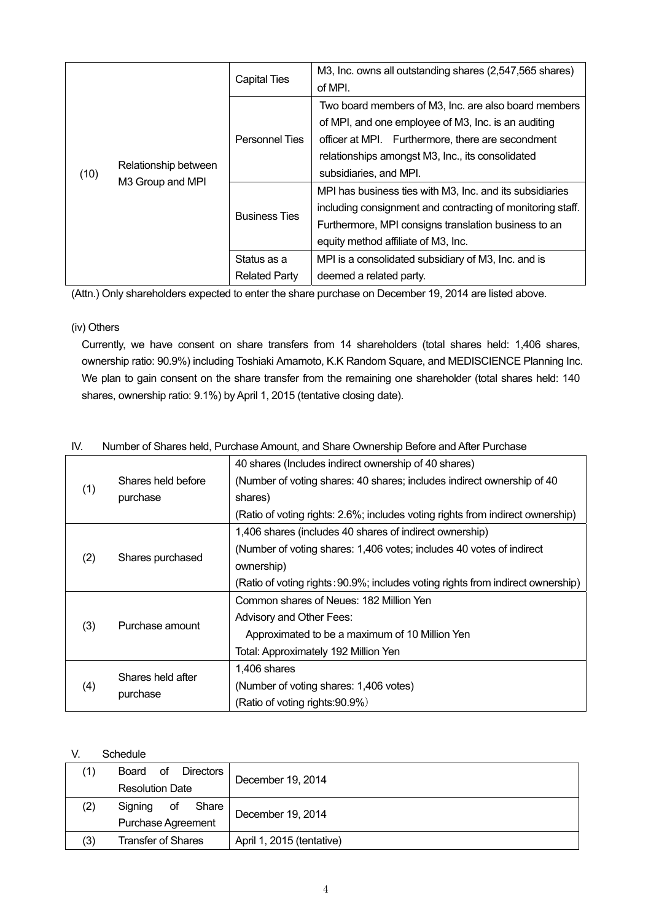|      | Relationship between<br>M3 Group and MPI | <b>Capital Ties</b>   | M3, Inc. owns all outstanding shares (2,547,565 shares)<br>of MPI. |
|------|------------------------------------------|-----------------------|--------------------------------------------------------------------|
|      |                                          | <b>Personnel Ties</b> | Two board members of M3, Inc. are also board members               |
|      |                                          |                       | of MPI, and one employee of M3, Inc. is an auditing                |
|      |                                          |                       | officer at MPI. Furthermore, there are secondment                  |
|      |                                          |                       | relationships amongst M3, Inc., its consolidated                   |
| (10) |                                          |                       | subsidiaries, and MPI.                                             |
|      |                                          | <b>Business Ties</b>  | MPI has business ties with M3, Inc. and its subsidiaries           |
|      |                                          |                       | including consignment and contracting of monitoring staff.         |
|      |                                          |                       | Furthermore, MPI consigns translation business to an               |
|      |                                          |                       | equity method affiliate of M3, Inc.                                |
|      |                                          | Status as a           | MPI is a consolidated subsidiary of M3, Inc. and is                |
|      |                                          | <b>Related Party</b>  | deemed a related party.                                            |

(Attn.) Only shareholders expected to enter the share purchase on December 19, 2014 are listed above.

## (iv) Others

Currently, we have consent on share transfers from 14 shareholders (total shares held: 1,406 shares, ownership ratio: 90.9%) including Toshiaki Amamoto, K.K Random Square, and MEDISCIENCE Planning Inc. We plan to gain consent on the share transfer from the remaining one shareholder (total shares held: 140 shares, ownership ratio: 9.1%) by April 1, 2015 (tentative closing date).

| . v . |                    | mannoch or onighed noig, if and igge Amount, and onighed windiging Defore and Alter Farengge |  |  |  |  |
|-------|--------------------|----------------------------------------------------------------------------------------------|--|--|--|--|
|       |                    | 40 shares (Includes indirect ownership of 40 shares)                                         |  |  |  |  |
|       | Shares held before | (Number of voting shares: 40 shares; includes indirect ownership of 40                       |  |  |  |  |
| (1)   | purchase           | shares)                                                                                      |  |  |  |  |
|       |                    | (Ratio of voting rights: 2.6%; includes voting rights from indirect ownership)               |  |  |  |  |
|       |                    | 1,406 shares (includes 40 shares of indirect ownership)                                      |  |  |  |  |
|       |                    | (Number of voting shares: 1,406 votes; includes 40 votes of indirect                         |  |  |  |  |
| (2)   | Shares purchased   | ownership)                                                                                   |  |  |  |  |
|       |                    | (Ratio of voting rights: 90.9%; includes voting rights from indirect ownership)              |  |  |  |  |
|       |                    | Common shares of Neues: 182 Million Yen                                                      |  |  |  |  |
|       | Purchase amount    | Advisory and Other Fees:                                                                     |  |  |  |  |
| (3)   |                    | Approximated to be a maximum of 10 Million Yen                                               |  |  |  |  |
|       |                    | Total: Approximately 192 Million Yen                                                         |  |  |  |  |
|       |                    | 1,406 shares                                                                                 |  |  |  |  |
| (4)   | Shares held after  | (Number of voting shares: 1,406 votes)                                                       |  |  |  |  |
|       | purchase           | (Ratio of voting rights: 90.9%)                                                              |  |  |  |  |

## IV. Number of Shares held, Purchase Amount, and Share Ownership Before and After Purchase

## V. Schedule

|     | οf<br><b>Directors</b><br>Board |                           |  |  |
|-----|---------------------------------|---------------------------|--|--|
|     | <b>Resolution Date</b>          | December 19, 2014         |  |  |
| (2) | Signing<br>οf<br>Share          |                           |  |  |
|     | <b>Purchase Agreement</b>       | December 19, 2014         |  |  |
| (3) | <b>Transfer of Shares</b>       | April 1, 2015 (tentative) |  |  |